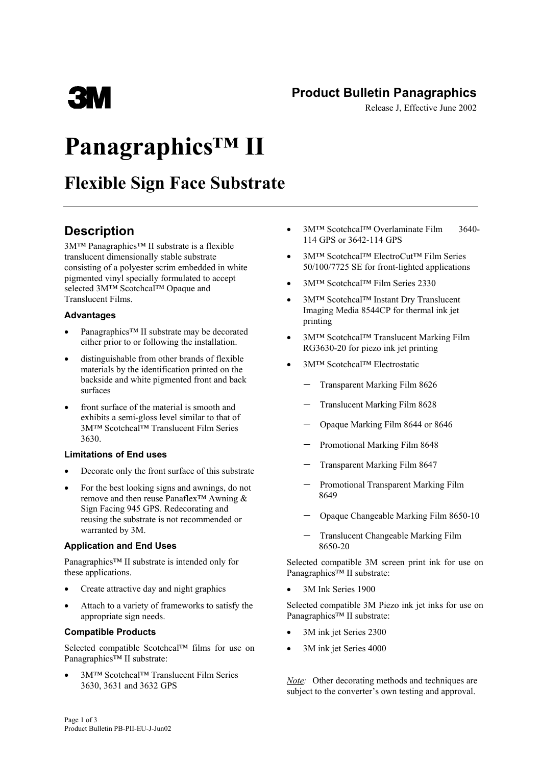### **Product Bulletin Panagraphics**

Release J, Effective June 2002

# **Panagraphics™ II**

## **Flexible Sign Face Substrate**

### **Description**

ESIM

3M™ Panagraphics™ II substrate is a flexible translucent dimensionally stable substrate consisting of a polyester scrim embedded in white pigmented vinyl specially formulated to accept selected 3M™ Scotchcal™ Opaque and Translucent Films.

#### **Advantages**

- Panagraphics™ II substrate may be decorated either prior to or following the installation.
- distinguishable from other brands of flexible materials by the identification printed on the backside and white pigmented front and back surfaces
- front surface of the material is smooth and exhibits a semi-gloss level similar to that of 3M™ Scotchcal™ Translucent Film Series 3630.

#### **Limitations of End uses**

- Decorate only the front surface of this substrate
- For the best looking signs and awnings, do not remove and then reuse Panaflex™ Awning & Sign Facing 945 GPS. Redecorating and reusing the substrate is not recommended or warranted by 3M.

#### **Application and End Uses**

Panagraphics™ II substrate is intended only for these applications.

- Create attractive day and night graphics
- Attach to a variety of frameworks to satisfy the appropriate sign needs.

#### **Compatible Products**

Selected compatible Scotchcal™ films for use on Panagraphics™ II substrate:

• 3M™ Scotchcal™ Translucent Film Series 3630, 3631 and 3632 GPS

- 3M™ Scotchcal™ Overlaminate Film 3640- 114 GPS or 3642-114 GPS
- 3M™ Scotchcal™ ElectroCut™ Film Series 50/100/7725 SE for front-lighted applications
- 3M™ Scotchcal™ Film Series 2330
- 3M™ Scotchcal™ Instant Dry Translucent Imaging Media 8544CP for thermal ink jet printing
- 3M™ Scotchcal™ Translucent Marking Film RG3630-20 for piezo ink jet printing
- 3M™ Scotchcal™ Electrostatic
	- − Transparent Marking Film 8626
	- Translucent Marking Film 8628
	- − Opaque Marking Film 8644 or 8646
	- − Promotional Marking Film 8648
	- − Transparent Marking Film 8647
	- − Promotional Transparent Marking Film 8649
	- − Opaque Changeable Marking Film 8650-10
	- Translucent Changeable Marking Film 8650-20

Selected compatible 3M screen print ink for use on Panagraphics™ II substrate:

• 3M Ink Series 1900

Selected compatible 3M Piezo ink jet inks for use on Panagraphics™ II substrate:

- 3M ink jet Series 2300
- 3M ink jet Series 4000

*Note:* Other decorating methods and techniques are subject to the converter's own testing and approval.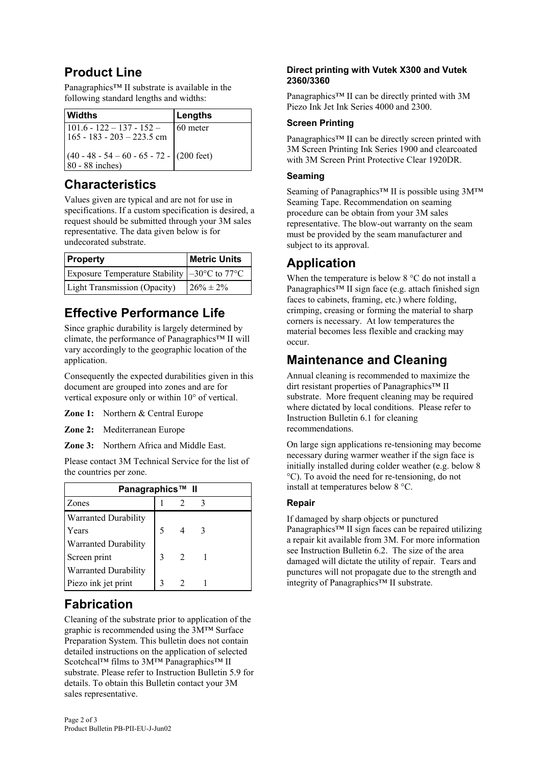### **Product Line**

Panagraphics™ II substrate is available in the following standard lengths and widths:

| <b>Widths</b>                                                          | Lengths  |
|------------------------------------------------------------------------|----------|
| $101.6 - 122 - 137 - 152 -$<br>165 - 183 - 203 - 223.5 cm              | 60 meter |
| $(40 - 48 - 54 - 60 - 65 - 72 - (200 \text{ feet})$<br>80 - 88 inches) |          |

### **Characteristics**

Values given are typical and are not for use in specifications. If a custom specification is desired, a request should be submitted through your 3M sales representative. The data given below is for undecorated substrate.

| <b>Property</b>                                                         | <b>Metric Units</b> |
|-------------------------------------------------------------------------|---------------------|
| Exposure Temperature Stability $\vert -30^{\circ}$ C to 77 $^{\circ}$ C |                     |
| <b>Light Transmission (Opacity)</b>                                     | $26\% \pm 2\%$      |

### **Effective Performance Life**

Since graphic durability is largely determined by climate, the performance of Panagraphics™ II will vary accordingly to the geographic location of the application.

Consequently the expected durabilities given in this document are grouped into zones and are for vertical exposure only or within 10° of vertical.

- **Zone 1:** Northern & Central Europe
- **Zone 2:** Mediterranean Europe
- **Zone 3:** Northern Africa and Middle East.

Please contact 3M Technical Service for the list of the countries per zone.

| Panagraphics™ II     |  |  |  |  |  |  |
|----------------------|--|--|--|--|--|--|
| Zones                |  |  |  |  |  |  |
| Warranted Durability |  |  |  |  |  |  |
| Years                |  |  |  |  |  |  |
| Warranted Durability |  |  |  |  |  |  |
| Screen print         |  |  |  |  |  |  |
| Warranted Durability |  |  |  |  |  |  |
| Piezo ink jet print  |  |  |  |  |  |  |

### **Fabrication**

Cleaning of the substrate prior to application of the graphic is recommended using the 3M™ Surface Preparation System. This bulletin does not contain detailed instructions on the application of selected Scotchcal™ films to 3M™ Panagraphics™ II substrate. Please refer to Instruction Bulletin 5.9 for details. To obtain this Bulletin contact your 3M sales representative.

#### **Direct printing with Vutek X300 and Vutek 2360/3360**

Panagraphics™ II can be directly printed with 3M Piezo Ink Jet Ink Series 4000 and 2300.

#### **Screen Printing**

Panagraphics™ II can be directly screen printed with 3M Screen Printing Ink Series 1900 and clearcoated with 3M Screen Print Protective Clear 1920DR.

#### **Seaming**

Seaming of Panagraphics™ II is possible using 3M™ Seaming Tape. Recommendation on seaming procedure can be obtain from your 3M sales representative. The blow-out warranty on the seam must be provided by the seam manufacturer and subject to its approval.

### **Application**

When the temperature is below 8 °C do not install a Panagraphics™ II sign face (e.g. attach finished sign faces to cabinets, framing, etc.) where folding, crimping, creasing or forming the material to sharp corners is necessary. At low temperatures the material becomes less flexible and cracking may occur.

### **Maintenance and Cleaning**

Annual cleaning is recommended to maximize the dirt resistant properties of Panagraphics™ II substrate. More frequent cleaning may be required where dictated by local conditions. Please refer to Instruction Bulletin 6.1 for cleaning recommendations.

On large sign applications re-tensioning may become necessary during warmer weather if the sign face is initially installed during colder weather (e.g. below 8 °C). To avoid the need for re-tensioning, do not install at temperatures below 8 °C.

#### **Repair**

If damaged by sharp objects or punctured Panagraphics™ II sign faces can be repaired utilizing a repair kit available from 3M. For more information see Instruction Bulletin 6.2. The size of the area damaged will dictate the utility of repair. Tears and punctures will not propagate due to the strength and integrity of Panagraphics™ II substrate.